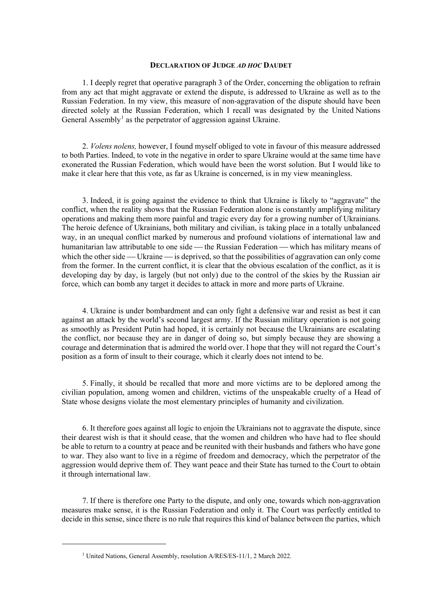## **DECLARATION OF JUDGE** *AD HOC* **DAUDET**

1. I deeply regret that operative paragraph 3 of the Order, concerning the obligation to refrain from any act that might aggravate or extend the dispute, is addressed to Ukraine as well as to the Russian Federation. In my view, this measure of non-aggravation of the dispute should have been directed solely at the Russian Federation, which I recall was designated by the United Nations General Assembly<sup>[1](#page-0-0)</sup> as the perpetrator of aggression against Ukraine.

2. *Volens nolens,* however, I found myself obliged to vote in favour of this measure addressed to both Parties. Indeed, to vote in the negative in order to spare Ukraine would at the same time have exonerated the Russian Federation, which would have been the worst solution. But I would like to make it clear here that this vote, as far as Ukraine is concerned, is in my view meaningless.

3. Indeed, it is going against the evidence to think that Ukraine is likely to "aggravate" the conflict, when the reality shows that the Russian Federation alone is constantly amplifying military operations and making them more painful and tragic every day for a growing number of Ukrainians. The heroic defence of Ukrainians, both military and civilian, is taking place in a totally unbalanced way, in an unequal conflict marked by numerous and profound violations of international law and humanitarian law attributable to one side — the Russian Federation — which has military means of which the other side — Ukraine — is deprived, so that the possibilities of aggravation can only come from the former. In the current conflict, it is clear that the obvious escalation of the conflict, as it is developing day by day, is largely (but not only) due to the control of the skies by the Russian air force, which can bomb any target it decides to attack in more and more parts of Ukraine.

4. Ukraine is under bombardment and can only fight a defensive war and resist as best it can against an attack by the world's second largest army. If the Russian military operation is not going as smoothly as President Putin had hoped, it is certainly not because the Ukrainians are escalating the conflict, nor because they are in danger of doing so, but simply because they are showing a courage and determination that is admired the world over. I hope that they will not regard the Court's position as a form of insult to their courage, which it clearly does not intend to be.

5. Finally, it should be recalled that more and more victims are to be deplored among the civilian population, among women and children, victims of the unspeakable cruelty of a Head of State whose designs violate the most elementary principles of humanity and civilization.

6. It therefore goes against all logic to enjoin the Ukrainians not to aggravate the dispute, since their dearest wish is that it should cease, that the women and children who have had to flee should be able to return to a country at peace and be reunited with their husbands and fathers who have gone to war. They also want to live in a régime of freedom and democracy, which the perpetrator of the aggression would deprive them of. They want peace and their State has turned to the Court to obtain it through international law.

7. If there is therefore one Party to the dispute, and only one, towards which non-aggravation measures make sense, it is the Russian Federation and only it. The Court was perfectly entitled to decide in this sense, since there is no rule that requires this kind of balance between the parties, which

<span id="page-0-0"></span><sup>&</sup>lt;sup>1</sup> United Nations, General Assembly, resolution A/RES/ES-11/1, 2 March 2022.